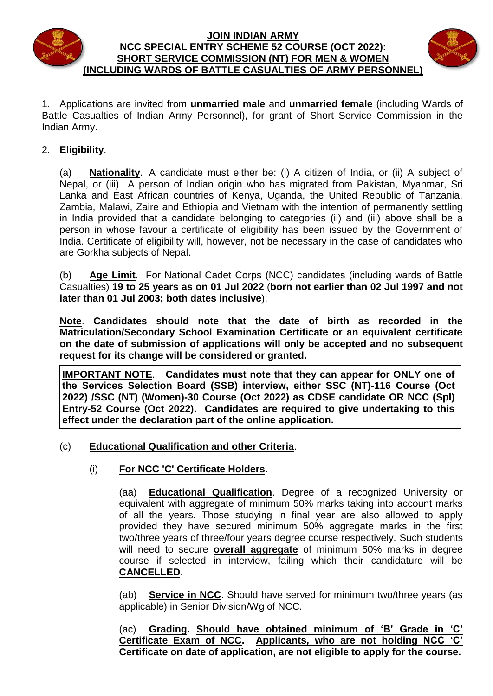

#### **JOIN INDIAN ARMY NCC SPECIAL ENTRY SCHEME 52 COURSE (OCT 2022): SHORT SERVICE COMMISSION (NT) FOR MEN & WOMEN (INCLUDING WARDS OF BATTLE CASUALTIES OF ARMY PERSONNEL)**



1. Applications are invited from **unmarried male** and **unmarried female** (including Wards of Battle Casualties of Indian Army Personnel), for grant of Short Service Commission in the Indian Army.

## 2. **Eligibility**.

(a) **Nationality**. A candidate must either be: (i) A citizen of India, or (ii) A subject of Nepal, or (iii) A person of Indian origin who has migrated from Pakistan, Myanmar, Sri Lanka and East African countries of Kenya, Uganda, the United Republic of Tanzania, Zambia, Malawi, Zaire and Ethiopia and Vietnam with the intention of permanently settling in India provided that a candidate belonging to categories (ii) and (iii) above shall be a person in whose favour a certificate of eligibility has been issued by the Government of India. Certificate of eligibility will, however, not be necessary in the case of candidates who are Gorkha subjects of Nepal.

(b) **Age Limit**.For National Cadet Corps (NCC) candidates (including wards of Battle Casualties) **19 to 25 years as on 01 Jul 2022** (**born not earlier than 02 Jul 1997 and not later than 01 Jul 2003; both dates inclusive**).

**Note**. **Candidates should note that the date of birth as recorded in the Matriculation/Secondary School Examination Certificate or an equivalent certificate on the date of submission of applications will only be accepted and no subsequent request for its change will be considered or granted.**

**IMPORTANT NOTE**. **Candidates must note that they can appear for ONLY one of the Services Selection Board (SSB) interview, either SSC (NT)-116 Course (Oct 2022) /SSC (NT) (Women)-30 Course (Oct 2022) as CDSE candidate OR NCC (Spl) Entry-52 Course (Oct 2022). Candidates are required to give undertaking to this effect under the declaration part of the online application.**

- (c) **Educational Qualification and other Criteria**.
	- (i) **For NCC 'C' Certificate Holders**.

(aa) **Educational Qualification**. Degree of a recognized University or equivalent with aggregate of minimum 50% marks taking into account marks of all the years. Those studying in final year are also allowed to apply provided they have secured minimum 50% aggregate marks in the first two/three years of three/four years degree course respectively. Such students will need to secure **overall aggregate** of minimum 50% marks in degree course if selected in interview, failing which their candidature will be **CANCELLED**.

(ab) **Service in NCC**. Should have served for minimum two/three years (as applicable) in Senior Division/Wg of NCC.

(ac) **Grading. Should have obtained minimum of 'B' Grade in 'C' Certificate Exam of NCC.** Applicants, who are not holding NCC **Certificate on date of application, are not eligible to apply for the course.**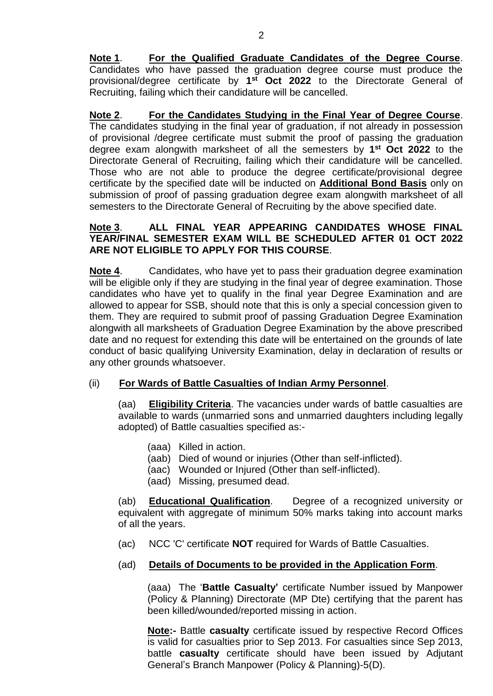**Note 1**. **For the Qualified Graduate Candidates of the Degree Course**. Candidates who have passed the graduation degree course must produce the provisional/degree certificate by **1 st Oct 2022** to the Directorate General of Recruiting, failing which their candidature will be cancelled.

**Note 2**. **For the Candidates Studying in the Final Year of Degree Course**. The candidates studying in the final year of graduation, if not already in possession of provisional /degree certificate must submit the proof of passing the graduation degree exam alongwith marksheet of all the semesters by **1 st Oct 2022** to the Directorate General of Recruiting, failing which their candidature will be cancelled. Those who are not able to produce the degree certificate/provisional degree certificate by the specified date will be inducted on **Additional Bond Basis** only on submission of proof of passing graduation degree exam alongwith marksheet of all semesters to the Directorate General of Recruiting by the above specified date.

#### **Note 3**. **ALL FINAL YEAR APPEARING CANDIDATES WHOSE FINAL YEAR/FINAL SEMESTER EXAM WILL BE SCHEDULED AFTER 01 OCT 2022 ARE NOT ELIGIBLE TO APPLY FOR THIS COURSE**.

**Note 4**. Candidates, who have yet to pass their graduation degree examination will be eligible only if they are studying in the final year of degree examination. Those candidates who have yet to qualify in the final year Degree Examination and are allowed to appear for SSB, should note that this is only a special concession given to them. They are required to submit proof of passing Graduation Degree Examination alongwith all marksheets of Graduation Degree Examination by the above prescribed date and no request for extending this date will be entertained on the grounds of late conduct of basic qualifying University Examination, delay in declaration of results or any other grounds whatsoever.

#### (ii) **For Wards of Battle Casualties of Indian Army Personnel**.

(aa) **Eligibility Criteria**. The vacancies under wards of battle casualties are available to wards (unmarried sons and unmarried daughters including legally adopted) of Battle casualties specified as:-

- (aaa) Killed in action.
- (aab) Died of wound or injuries (Other than self-inflicted).
- (aac) Wounded or Injured (Other than self-inflicted).
- (aad) Missing, presumed dead.

(ab) **Educational Qualification**. Degree of a recognized university or equivalent with aggregate of minimum 50% marks taking into account marks of all the years.

(ac) NCC 'C' certificate **NOT** required for Wards of Battle Casualties.

#### (ad) **Details of Documents to be provided in the Application Form**.

(aaa) The '**Battle Casualty'** certificate Number issued by Manpower (Policy & Planning) Directorate (MP Dte) certifying that the parent has been killed/wounded/reported missing in action.

**Note:-** Battle **casualty** certificate issued by respective Record Offices is valid for casualties prior to Sep 2013. For casualties since Sep 2013, battle **casualty** certificate should have been issued by Adjutant General's Branch Manpower (Policy & Planning)-5(D).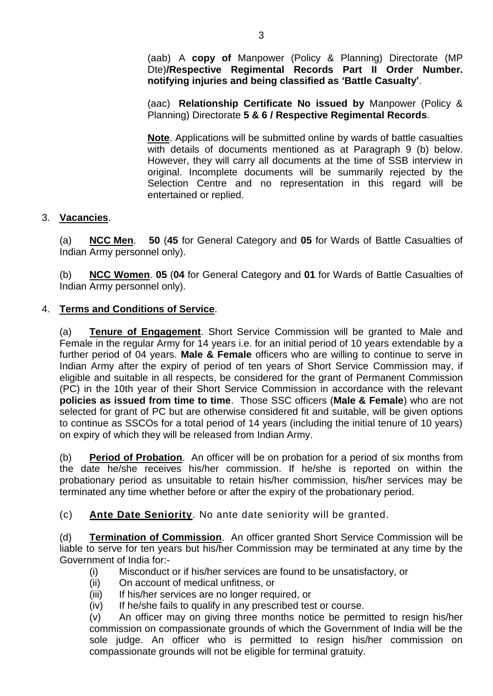(aab) A **copy of** Manpower (Policy & Planning) Directorate (MP Dte)**/Respective Regimental Records Part II Order Number. notifying injuries and being classified as 'Battle Casualty'**.

(aac) **Relationship Certificate No issued by** Manpower (Policy & Planning) Directorate **5 & 6 / Respective Regimental Records**.

**Note**. Applications will be submitted online by wards of battle casualties with details of documents mentioned as at Paragraph 9 (b) below. However, they will carry all documents at the time of SSB interview in original. Incomplete documents will be summarily rejected by the Selection Centre and no representation in this regard will be entertained or replied.

## 3. **Vacancies**.

(a) **NCC Men**. **50** (**45** for General Category and **05** for Wards of Battle Casualties of Indian Army personnel only).

(b) **NCC Women**. **05** (**04** for General Category and **01** for Wards of Battle Casualties of Indian Army personnel only).

## 4. **Terms and Conditions of Service**.

(a) **Tenure of Engagement**. Short Service Commission will be granted to Male and Female in the regular Army for 14 years i.e. for an initial period of 10 years extendable by a further period of 04 years. **Male & Female** officers who are willing to continue to serve in Indian Army after the expiry of period of ten years of Short Service Commission may, if eligible and suitable in all respects, be considered for the grant of Permanent Commission (PC) in the 10th year of their Short Service Commission in accordance with the relevant **policies as issued from time to time**. Those SSC officers (**Male & Female**) who are not selected for grant of PC but are otherwise considered fit and suitable, will be given options to continue as SSCOs for a total period of 14 years (including the initial tenure of 10 years) on expiry of which they will be released from Indian Army.

(b) **Period of Probation**.An officer will be on probation for a period of six months from the date he/she receives his/her commission. If he/she is reported on within the probationary period as unsuitable to retain his/her commission, his/her services may be terminated any time whether before or after the expiry of the probationary period.

(c) **Ante Date Seniority**. No ante date seniority will be granted.

(d) **Termination of Commission**.An officer granted Short Service Commission will be liable to serve for ten years but his/her Commission may be terminated at any time by the Government of India for:-

- (i) Misconduct or if his/her services are found to be unsatisfactory, or
- (ii) On account of medical unfitness, or
- (iii) If his/her services are no longer required, or
- (iv) If he/she fails to qualify in any prescribed test or course.

(v) An officer may on giving three months notice be permitted to resign his/her commission on compassionate grounds of which the Government of India will be the sole judge. An officer who is permitted to resign his/her commission on compassionate grounds will not be eligible for terminal gratuity.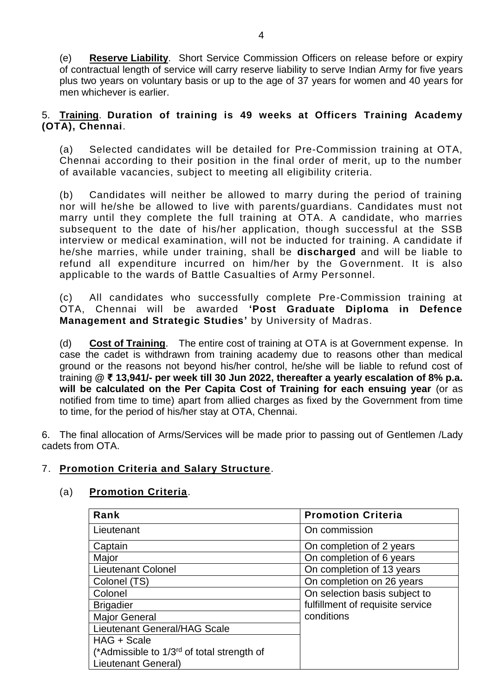(e) **Reserve Liability**.Short Service Commission Officers on release before or expiry of contractual length of service will carry reserve liability to serve Indian Army for five years plus two years on voluntary basis or up to the age of 37 years for women and 40 years for men whichever is earlier.

## 5. **Training**. **Duration of training is 49 weeks at Officers Training Academy (OTA), Chennai**.

(a) Selected candidates will be detailed for Pre-Commission training at OTA, Chennai according to their position in the final order of merit, up to the number of available vacancies, subject to meeting all eligibility criteria.

(b) Candidates will neither be allowed to marry during the period of training nor will he/she be allowed to live with parents/guardians. Candidates must not marry until they complete the full training at OTA. A candidate, who marries subsequent to the date of his/her application, though successful at the SSB interview or medical examination, will not be inducted for training. A candidate if he/she marries, while under training, shall be **discharged** and will be liable to refund all expenditure incurred on him/her by the Government. It is also applicable to the wards of Battle Casualties of Army Personnel.

(c) All candidates who successfully complete Pre-Commission training at OTA, Chennai will be awarded **'Post Graduate Diploma in Defence Management and Strategic Studies'** by University of Madras.

(d) **Cost of Training**. The entire cost of training at OTA is at Government expense. In case the cadet is withdrawn from training academy due to reasons other than medical ground or the reasons not beyond his/her control, he/she will be liable to refund cost of training **@ ₹ 13,941/- per week till 30 Jun 2022, thereafter a yearly escalation of 8% p.a. will be calculated on the Per Capita Cost of Training for each ensuing year** (or as notified from time to time) apart from allied charges as fixed by the Government from time to time, for the period of his/her stay at OTA, Chennai.

6. The final allocation of Arms/Services will be made prior to passing out of Gentlemen /Lady cadets from OTA.

## 7. **Promotion Criteria and Salary Structure**.

## (a) **Promotion Criteria**.

| Rank                                                   | <b>Promotion Criteria</b>        |
|--------------------------------------------------------|----------------------------------|
| Lieutenant                                             | On commission                    |
| Captain                                                | On completion of 2 years         |
| Major                                                  | On completion of 6 years         |
| Lieutenant Colonel                                     | On completion of 13 years        |
| Colonel (TS)                                           | On completion on 26 years        |
| Colonel                                                | On selection basis subject to    |
| <b>Brigadier</b>                                       | fulfillment of requisite service |
| <b>Major General</b>                                   | conditions                       |
| Lieutenant General/HAG Scale                           |                                  |
| HAG + Scale                                            |                                  |
| (*Admissible to 1/3 <sup>rd</sup> of total strength of |                                  |
| Lieutenant General)                                    |                                  |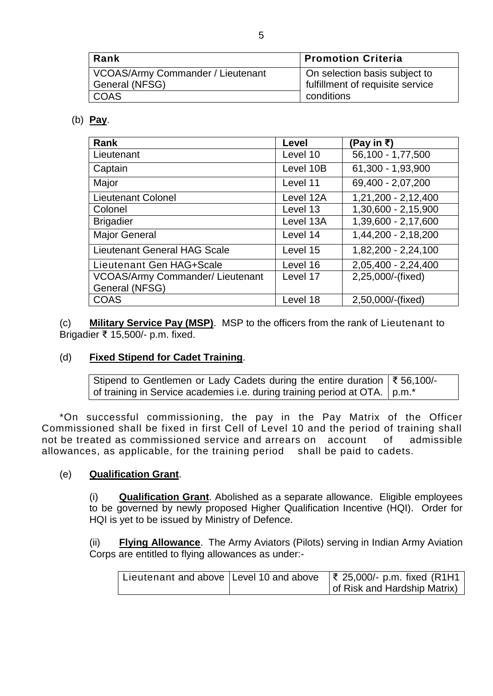| ∣ Rank                                              | <b>Promotion Criteria</b>                                         |
|-----------------------------------------------------|-------------------------------------------------------------------|
| VCOAS/Army Commander / Lieutenant<br>General (NFSG) | On selection basis subject to<br>fulfillment of requisite service |
| <b>COAS</b>                                         | conditions                                                        |

## (b) **Pay**.

| Rank                                    | <b>Level</b> | (Pay in ₹)          |
|-----------------------------------------|--------------|---------------------|
| Lieutenant                              | Level 10     | 56,100 - 1,77,500   |
| Captain                                 | Level 10B    | 61,300 - 1,93,900   |
| Major                                   | Level 11     | 69,400 - 2,07,200   |
| <b>Lieutenant Colonel</b>               | Level 12A    | 1,21,200 - 2,12,400 |
| Colonel                                 | Level 13     | 1,30,600 - 2,15,900 |
| <b>Brigadier</b>                        | Level 13A    | 1,39,600 - 2,17,600 |
| <b>Major General</b>                    | Level 14     | 1,44,200 - 2,18,200 |
| <b>Lieutenant General HAG Scale</b>     | Level 15     | 1,82,200 - 2,24,100 |
| Lieutenant Gen HAG+Scale                | Level 16     | 2,05,400 - 2,24,400 |
| <b>VCOAS/Army Commander/ Lieutenant</b> | Level 17     | 2,25,000/-(fixed)   |
| General (NFSG)                          |              |                     |
| <b>COAS</b>                             | Level 18     | 2,50,000/-(fixed)   |

(c) **Military Service Pay (MSP)**. MSP to the officers from the rank of Lieutenant to Brigadier ₹ 15,500/- p.m. fixed.

#### (d) **Fixed Stipend for Cadet Training**.

Stipend to Gentlemen or Lady Cadets during the entire duration of training in Service academies i.e. during training period at OTA. ₹ 56,100/ p.m.\*

\*On successful commissioning, the pay in the Pay Matrix of the Officer Commissioned shall be fixed in first Cell of Level 10 and the period of training shall not be treated as commissioned service and arrears on account of admissible allowances, as applicable, for the training period shall be paid to cadets.

#### (e) **Qualification Grant**.

(i) **Qualification Grant**. Abolished as a separate allowance. Eligible employees to be governed by newly proposed Higher Qualification Incentive (HQI). Order for HQI is yet to be issued by Ministry of Defence.

(ii) **Flying Allowance**. The Army Aviators (Pilots) serving in Indian Army Aviation Corps are entitled to flying allowances as under:-

|  | Lieutenant and above   Level 10 and above $\sqrt{3}$ 25,000/- p.m. fixed (R1H1 |
|--|--------------------------------------------------------------------------------|
|  | of Risk and Hardship Matrix)                                                   |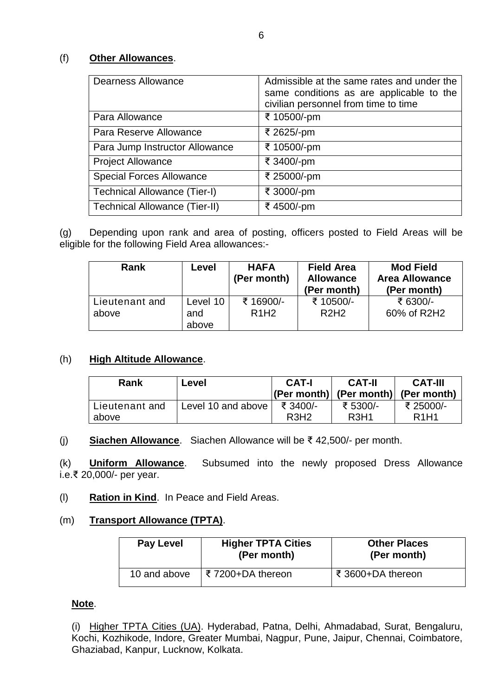## (f) **Other Allowances**.

| <b>Dearness Allowance</b>            | Admissible at the same rates and under the<br>same conditions as are applicable to the<br>civilian personnel from time to time |
|--------------------------------------|--------------------------------------------------------------------------------------------------------------------------------|
| Para Allowance                       | ₹ 10500/-pm                                                                                                                    |
| Para Reserve Allowance               | ₹ 2625/-pm                                                                                                                     |
| Para Jump Instructor Allowance       | ₹ 10500/-pm                                                                                                                    |
| <b>Project Allowance</b>             | ₹ 3400/-pm                                                                                                                     |
| <b>Special Forces Allowance</b>      | ₹ 25000/-pm                                                                                                                    |
| Technical Allowance (Tier-I)         | ₹ 3000/-pm                                                                                                                     |
| <b>Technical Allowance (Tier-II)</b> | ₹4500/-pm                                                                                                                      |

(g) Depending upon rank and area of posting, officers posted to Field Areas will be eligible for the following Field Area allowances:-

| Rank                    | Level                    | <b>HAFA</b><br>(Per month) | <b>Field Area</b><br><b>Allowance</b><br>(Per month) | <b>Mod Field</b><br><b>Area Allowance</b><br>(Per month) |
|-------------------------|--------------------------|----------------------------|------------------------------------------------------|----------------------------------------------------------|
| Lieutenant and<br>above | Level 10<br>and<br>above | ₹ 16900/-<br><b>R1H2</b>   | ₹ 10500/-<br>R2H2                                    | ₹ 6300/-<br>60% of R2H2                                  |

#### (h) **High Altitude Allowance**.

| Rank           | Level              | <b>CAT-I</b>                  | <b>CAT-II</b><br>$ (Per month) $ (Per month) (Per month) | <b>CAT-III</b>                |
|----------------|--------------------|-------------------------------|----------------------------------------------------------|-------------------------------|
| Lieutenant and | Level 10 and above | ₹ 3400/-                      | ₹ 5300/-                                                 | ₹ 25000/-                     |
| above          |                    | R <sub>3</sub> H <sub>2</sub> | R <sub>3</sub> H <sub>1</sub>                            | R <sub>1</sub> H <sub>1</sub> |

(j) **Siachen Allowance**. Siachen Allowance will be ₹ 42,500/- per month.

(k) **Uniform Allowance**. Subsumed into the newly proposed Dress Allowance i.e.₹ 20,000/- per year.

(l) **Ration in Kind**. In Peace and Field Areas.

## (m) **Transport Allowance (TPTA)**.

| <b>Pay Level</b> | <b>Higher TPTA Cities</b><br>(Per month) | <b>Other Places</b><br>(Per month) |
|------------------|------------------------------------------|------------------------------------|
| 10 and above     | ₹ 7200+DA thereon                        | ₹ 3600+DA thereon                  |

#### **Note**.

(i) Higher TPTA Cities (UA). Hyderabad, Patna, Delhi, Ahmadabad, Surat, Bengaluru, Kochi, Kozhikode, Indore, Greater Mumbai, Nagpur, Pune, Jaipur, Chennai, Coimbatore, Ghaziabad, Kanpur, Lucknow, Kolkata.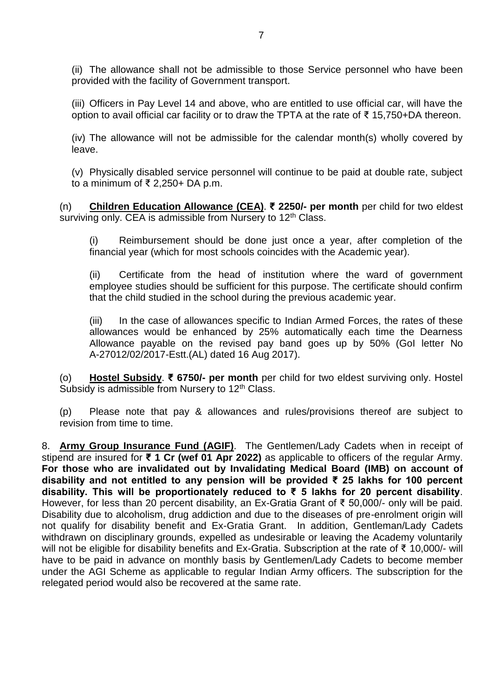(ii) The allowance shall not be admissible to those Service personnel who have been provided with the facility of Government transport.

(iii) Officers in Pay Level 14 and above, who are entitled to use official car, will have the option to avail official car facility or to draw the TPTA at the rate of ₹ 15,750+DA thereon.

(iv) The allowance will not be admissible for the calendar month(s) wholly covered by leave.

(v) Physically disabled service personnel will continue to be paid at double rate, subject to a minimum of ₹ 2,250+ DA p.m.

(n) **Children Education Allowance (CEA)**. **₹ 2250/- per month** per child for two eldest surviving only. CEA is admissible from Nursery to 12<sup>th</sup> Class.

Reimbursement should be done just once a year, after completion of the financial year (which for most schools coincides with the Academic year).

(ii) Certificate from the head of institution where the ward of government employee studies should be sufficient for this purpose. The certificate should confirm that the child studied in the school during the previous academic year.

(iii) In the case of allowances specific to Indian Armed Forces, the rates of these allowances would be enhanced by 25% automatically each time the Dearness Allowance payable on the revised pay band goes up by 50% (GoI letter No A-27012/02/2017-Estt.(AL) dated 16 Aug 2017).

(o) **Hostel Subsidy**. **₹ 6750/- per month** per child for two eldest surviving only. Hostel Subsidy is admissible from Nursery to 12<sup>th</sup> Class.

(p) Please note that pay & allowances and rules/provisions thereof are subject to revision from time to time.

8. **Army Group Insurance Fund (AGIF)**. The Gentlemen/Lady Cadets when in receipt of stipend are insured for **₹ 1 Cr (wef 01 Apr 2022)** as applicable to officers of the regular Army. **For those who are invalidated out by Invalidating Medical Board (IMB) on account of disability and not entitled to any pension will be provided ₹ 25 lakhs for 100 percent disability. This will be proportionately reduced to ₹ 5 lakhs for 20 percent disability**. However, for less than 20 percent disability, an Ex-Gratia Grant of ₹ 50,000/- only will be paid. Disability due to alcoholism, drug addiction and due to the diseases of pre-enrolment origin will not qualify for disability benefit and Ex-Gratia Grant. In addition, Gentleman/Lady Cadets withdrawn on disciplinary grounds, expelled as undesirable or leaving the Academy voluntarily will not be eligible for disability benefits and Ex-Gratia. Subscription at the rate of ₹ 10,000/- will have to be paid in advance on monthly basis by Gentlemen/Lady Cadets to become member under the AGI Scheme as applicable to regular Indian Army officers. The subscription for the relegated period would also be recovered at the same rate.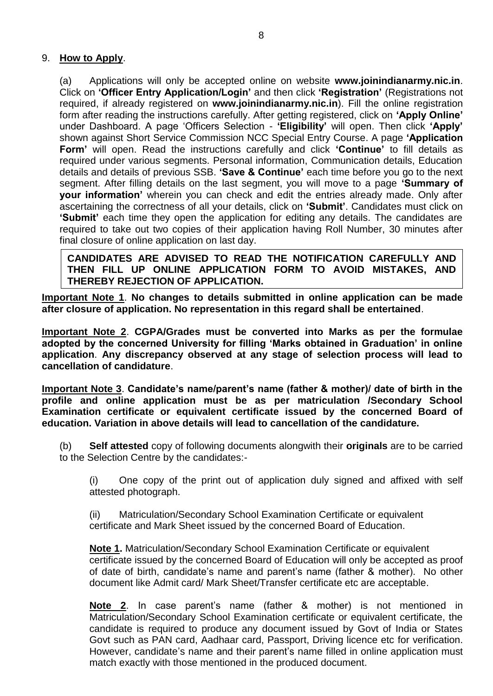## 9. **How to Apply**.

(a) Applications will only be accepted online on website **www.joinindianarmy.nic.in**. Click on **'Officer Entry Application/Login'** and then click **'Registration'** (Registrations not required, if already registered on **[www.joinindianarmy.nic.in](http://www.joinindianarmy.nic.in/)**). Fill the online registration form after reading the instructions carefully. After getting registered, click on **'Apply Online'** under Dashboard. A page 'Officers Selection - **'Eligibility'** will open. Then click **'Apply'** shown against Short Service Commission NCC Special Entry Course. A page **'Application Form'** will open. Read the instructions carefully and click **'Continue'** to fill details as required under various segments. Personal information, Communication details, Education details and details of previous SSB. **'Save & Continue'** each time before you go to the next segment. After filling details on the last segment, you will move to a page **'Summary of your information'** wherein you can check and edit the entries already made. Only after ascertaining the correctness of all your details, click on **'Submit'**. Candidates must click on **'Submit'** each time they open the application for editing any details. The candidates are required to take out two copies of their application having Roll Number, 30 minutes after final closure of online application on last day.

**CANDIDATES ARE ADVISED TO READ THE NOTIFICATION CAREFULLY AND THEN FILL UP ONLINE APPLICATION FORM TO AVOID MISTAKES, AND THEREBY REJECTION OF APPLICATION.**

**Important Note 1**. **No changes to details submitted in online application can be made after closure of application. No representation in this regard shall be entertained**.

**Important Note 2**. **CGPA/Grades must be converted into Marks as per the formulae adopted by the concerned University for filling 'Marks obtained in Graduation' in online application**. **Any discrepancy observed at any stage of selection process will lead to cancellation of candidature**.

**Important Note 3**. **Candidate's name/parent's name (father & mother)/ date of birth in the profile and online application must be as per matriculation /Secondary School Examination certificate or equivalent certificate issued by the concerned Board of education. Variation in above details will lead to cancellation of the candidature.**

(b) **Self attested** copy of following documents alongwith their **originals** are to be carried to the Selection Centre by the candidates:-

(i) One copy of the print out of application duly signed and affixed with self attested photograph.

(ii) Matriculation/Secondary School Examination Certificate or equivalent certificate and Mark Sheet issued by the concerned Board of Education.

**Note 1.** Matriculation/Secondary School Examination Certificate or equivalent certificate issued by the concerned Board of Education will only be accepted as proof of date of birth, candidate's name and parent's name (father & mother). No other document like Admit card/ Mark Sheet/Transfer certificate etc are acceptable.

**Note 2**. In case parent's name (father & mother) is not mentioned in Matriculation/Secondary School Examination certificate or equivalent certificate, the candidate is required to produce any document issued by Govt of India or States Govt such as PAN card, Aadhaar card, Passport, Driving licence etc for verification. However, candidate's name and their parent's name filled in online application must match exactly with those mentioned in the produced document.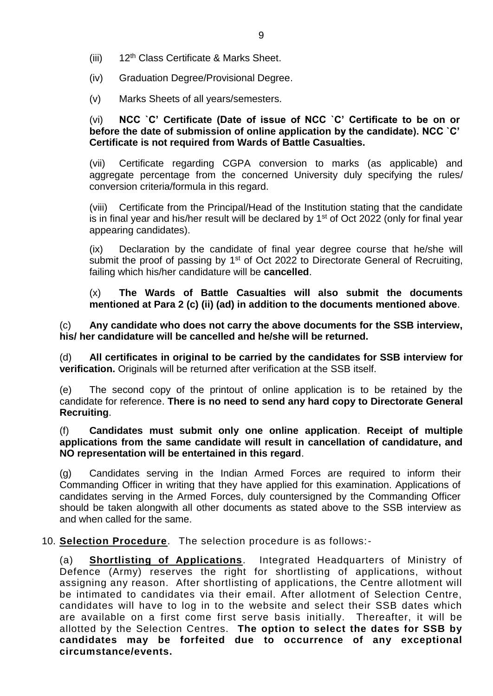- (iii) 12th Class Certificate & Marks Sheet.
- (iv) Graduation Degree/Provisional Degree.
- (v) Marks Sheets of all years/semesters.

#### (vi) **NCC `C' Certificate (Date of issue of NCC `C' Certificate to be on or before the date of submission of online application by the candidate). NCC `C' Certificate is not required from Wards of Battle Casualties.**

(vii) Certificate regarding CGPA conversion to marks (as applicable) and aggregate percentage from the concerned University duly specifying the rules/ conversion criteria/formula in this regard.

(viii) Certificate from the Principal/Head of the Institution stating that the candidate is in final year and his/her result will be declared by  $1<sup>st</sup>$  of Oct 2022 (only for final year appearing candidates).

(ix) Declaration by the candidate of final year degree course that he/she will submit the proof of passing by  $1<sup>st</sup>$  of Oct 2022 to Directorate General of Recruiting, failing which his/her candidature will be **cancelled**.

(x) **The Wards of Battle Casualties will also submit the documents mentioned at Para 2 (c) (ii) (ad) in addition to the documents mentioned above**.

(c) **Any candidate who does not carry the above documents for the SSB interview, his/ her candidature will be cancelled and he/she will be returned.**

(d) **All certificates in original to be carried by the candidates for SSB interview for verification.** Originals will be returned after verification at the SSB itself.

(e) The second copy of the printout of online application is to be retained by the candidate for reference. **There is no need to send any hard copy to Directorate General Recruiting**.

(f) **Candidates must submit only one online application**. **Receipt of multiple applications from the same candidate will result in cancellation of candidature, and NO representation will be entertained in this regard**.

(g) Candidates serving in the Indian Armed Forces are required to inform their Commanding Officer in writing that they have applied for this examination. Applications of candidates serving in the Armed Forces, duly countersigned by the Commanding Officer should be taken alongwith all other documents as stated above to the SSB interview as and when called for the same.

10. **Selection Procedure**. The selection procedure is as follows:-

(a) **Shortlisting of Applications**. Integrated Headquarters of Ministry of Defence (Army) reserves the right for shortlisting of applications, without assigning any reason. After shortlisting of applications, the Centre allotment will be intimated to candidates via their email. After allotment of Selection Centre, candidates will have to log in to the website and select their SSB dates which are available on a first come first serve basis initially. Thereafter, it will be allotted by the Selection Centres. **The option to select the dates for SSB by candidates may be forfeited due to occurrence of any exceptional circumstance/events.**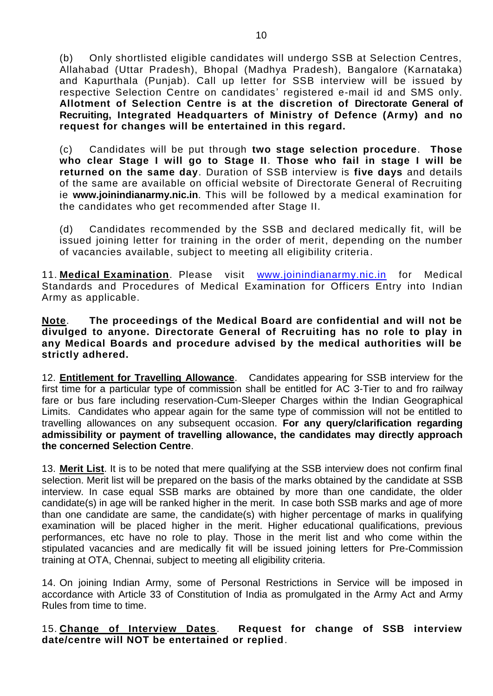(b) Only shortlisted eligible candidates will undergo SSB at Selection Centres, Allahabad (Uttar Pradesh), Bhopal (Madhya Pradesh), Bangalore (Karnataka) and Kapurthala (Punjab). Call up letter for SSB interview will be issued by respective Selection Centre on candidates' registered e-mail id and SMS only. **Allotment of Selection Centre is at the discretion of Directorate General of Recruiting, Integrated Headquarters of Ministry of Defence (Army) and no request for changes will be entertained in this regard.** 

(c) Candidates will be put through **two stage selection procedure**. **Those who clear Stage I will go to Stage II**. **Those who fail in stage I will be returned on the same day**. Duration of SSB interview is **five days** and details of the same are available on official website of Directorate General of Recruiting ie **[www.joinindianarmy.nic.in](http://www.joinindianarmy.nic.in/)**. This will be followed by a medical examination for the candidates who get recommended after Stage II.

(d) Candidates recommended by the SSB and declared medically fit, will be issued joining letter for training in the order of merit, depending on the number of vacancies available, subject to meeting all eligibility criteria.

11. **Medical Examination**. Please visit [www.joinindianarmy.nic.in](http://www.joinindianarmy.nic.in/) for Medical Standards and Procedures of Medical Examination for Officers Entry into Indian Army as applicable.

#### **Note**. **The proceedings of the Medical Board are confidential and will not be divulged to anyone. Directorate General of Recruiting has no role to play in any Medical Boards and procedure advised by the medical authorities will be strictly adhered.**

12. **Entitlement for Travelling Allowance**. Candidates appearing for SSB interview for the first time for a particular type of commission shall be entitled for AC 3-Tier to and fro railway fare or bus fare including reservation-Cum-Sleeper Charges within the Indian Geographical Limits. Candidates who appear again for the same type of commission will not be entitled to travelling allowances on any subsequent occasion. **For any query/clarification regarding admissibility or payment of travelling allowance, the candidates may directly approach the concerned Selection Centre**.

13. **Merit List**. It is to be noted that mere qualifying at the SSB interview does not confirm final selection. Merit list will be prepared on the basis of the marks obtained by the candidate at SSB interview. In case equal SSB marks are obtained by more than one candidate, the older candidate(s) in age will be ranked higher in the merit. In case both SSB marks and age of more than one candidate are same, the candidate(s) with higher percentage of marks in qualifying examination will be placed higher in the merit. Higher educational qualifications, previous performances, etc have no role to play. Those in the merit list and who come within the stipulated vacancies and are medically fit will be issued joining letters for Pre-Commission training at OTA, Chennai, subject to meeting all eligibility criteria.

14. On joining Indian Army, some of Personal Restrictions in Service will be imposed in accordance with Article 33 of Constitution of India as promulgated in the Army Act and Army Rules from time to time.

#### 15. **Change of Interview Dates**. **Request for change of SSB interview date/centre will NOT be entertained or replied**.